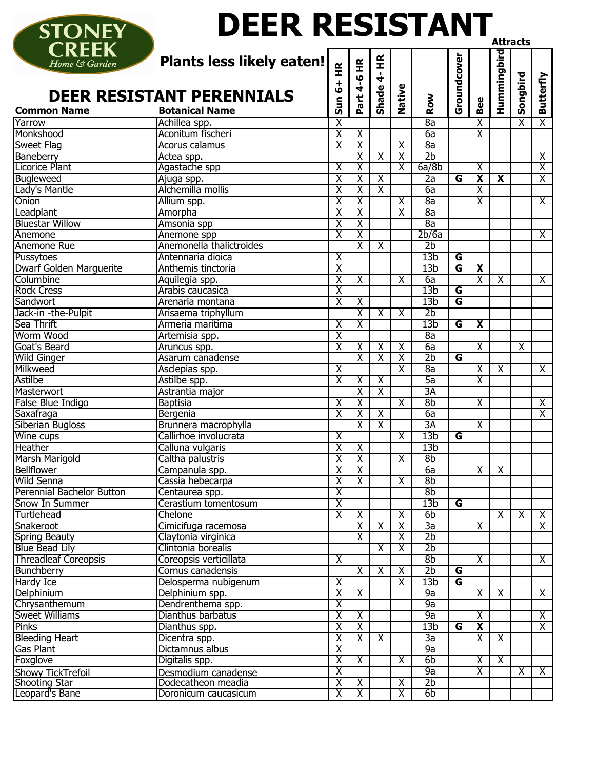| <b>STONEY</b>                | <b>DEER RESISTANT</b>              |                          |                         |                          |                         |                 |                         |                                                    |                         |                         |                         |
|------------------------------|------------------------------------|--------------------------|-------------------------|--------------------------|-------------------------|-----------------|-------------------------|----------------------------------------------------|-------------------------|-------------------------|-------------------------|
| <b>CREEK</b>                 |                                    |                          |                         |                          |                         |                 |                         |                                                    |                         | Attracts                |                         |
| Home & Garden                | Plants less likely eaten!          | $\widetilde{\mathbf{H}}$ |                         | $\widetilde{\mathbf{t}}$ |                         |                 | Groundcover             |                                                    | Hummingbird             |                         |                         |
|                              |                                    |                          | Part 4-6 HR             | $\frac{1}{\mathbf{q}}$   |                         |                 |                         |                                                    |                         | Songbird                | <b>Butterfly</b>        |
|                              | <b>DEER RESISTANT PERENNIALS</b>   | $\frac{1}{6}$            |                         | Shade                    | Native                  |                 |                         |                                                    |                         |                         |                         |
|                              |                                    | Sun                      |                         |                          |                         | Row             |                         | Bee                                                |                         |                         |                         |
| <b>Common Name</b><br>Yarrow | <b>Botanical Name</b>              |                          |                         |                          |                         | 8a              |                         |                                                    |                         |                         | $\overline{\mathsf{x}}$ |
| Monkshood                    | Achillea spp.<br>Aconitum fischeri | x<br>$\overline{\chi}$   | $\overline{\mathsf{x}}$ |                          |                         | 6a              |                         | $\overline{\mathsf{x}}$<br>$\overline{\mathsf{x}}$ |                         | $\overline{\mathsf{x}}$ |                         |
| <b>Sweet Flag</b>            | Acorus calamus                     | $\overline{\mathsf{x}}$  | $\overline{X}$          |                          | $\overline{\mathsf{x}}$ | 8a              |                         |                                                    |                         |                         |                         |
| Baneberry                    | Actea spp.                         |                          | $\overline{\mathsf{X}}$ | X                        | $\overline{\mathsf{x}}$ | 2 <sub>b</sub>  |                         |                                                    |                         |                         | $\overline{\mathsf{x}}$ |
| <b>Licorice Plant</b>        | Agastache spp                      | $\overline{\mathsf{x}}$  | $\overline{\chi}$       |                          | $\overline{\mathsf{x}}$ | 6a/8b           |                         | $\overline{\mathsf{x}}$                            |                         |                         | $\overline{\mathsf{x}}$ |
| Bugleweed                    | Ajuga spp.                         | $\overline{\chi}$        | $\overline{\mathsf{X}}$ | $\overline{\mathsf{x}}$  |                         | 2a              | G                       | $\overline{\mathbf{x}}$                            | $\overline{\mathbf{x}}$ |                         | $\overline{\mathsf{x}}$ |
| Lady's Mantle                | Alchemilla mollis                  | $\overline{\mathsf{x}}$  | $\overline{\mathsf{x}}$ | χ                        |                         | 6a              |                         | $\overline{\chi}$                                  |                         |                         |                         |
| Onion                        | Allium spp.                        | $\overline{\textsf{x}}$  | $\overline{\mathsf{X}}$ |                          | $\overline{\mathsf{x}}$ | 8a              |                         | $\overline{\textsf{x}}$                            |                         |                         | $\overline{\mathsf{x}}$ |
| Leadplant                    | Amorpha                            | $\overline{\mathsf{x}}$  | $\overline{X}$          |                          | $\overline{\mathsf{x}}$ | 8a              |                         |                                                    |                         |                         |                         |
| <b>Bluestar Willow</b>       | Amsonia spp                        | $\overline{\chi}$        | $\overline{\mathsf{X}}$ |                          |                         | 8a              |                         |                                                    |                         |                         |                         |
| Anemone                      | Anemone spp                        | $\overline{\chi}$        | $\overline{\mathsf{X}}$ |                          |                         | 2b/6a           |                         |                                                    |                         |                         | $\overline{X}$          |
| Anemone Rue                  | Anemonella thalictroides           |                          | χ                       | $\overline{\mathsf{x}}$  |                         | 2 <sub>b</sub>  |                         |                                                    |                         |                         |                         |
| Pussytoes                    | Antennaria dioica                  | $\overline{\chi}$        |                         |                          |                         | 13 <sub>b</sub> | G                       |                                                    |                         |                         |                         |
| Dwarf Golden Marguerite      | Anthemis tinctoria                 | $\overline{\mathsf{X}}$  |                         |                          |                         | 13 <sub>b</sub> | G                       | $\overline{\mathbf{X}}$                            |                         |                         |                         |
| Columbine                    | Aquilegia spp.                     | $\overline{\mathsf{x}}$  | $\overline{\mathsf{x}}$ |                          | $\overline{\mathsf{x}}$ | 6a              |                         | $\overline{\mathsf{x}}$                            | $\overline{\mathsf{x}}$ |                         | $\overline{X}$          |
| <b>Rock Cress</b>            | Arabis caucasica                   | $\overline{\mathsf{x}}$  |                         |                          |                         | 13 <sub>b</sub> | G                       |                                                    |                         |                         |                         |
| Sandwort                     | Arenaria montana                   | $\overline{\mathsf{x}}$  | $\overline{\mathsf{x}}$ |                          |                         | 13 <sub>b</sub> | $\overline{\mathsf{G}}$ |                                                    |                         |                         |                         |
| Jack-in -the-Pulpit          | Arisaema triphyllum                |                          | $\overline{X}$          | $\overline{\mathsf{x}}$  | $\overline{\mathsf{x}}$ | 2 <sub>b</sub>  |                         |                                                    |                         |                         |                         |
| Sea Thrift                   | Armeria maritima                   | $\overline{\chi}$        | χ                       |                          |                         | 13 <sub>b</sub> | $\overline{\mathsf{G}}$ | $\overline{\mathbf{x}}$                            |                         |                         |                         |
| Worm Wood                    | Artemisia spp.                     | $\overline{\mathsf{x}}$  |                         |                          |                         | 8a              |                         |                                                    |                         |                         |                         |
| Goat's Beard                 | Aruncus spp.                       | $\overline{\textsf{x}}$  | $\overline{\mathsf{x}}$ | $\overline{\mathsf{x}}$  | $\overline{\mathsf{x}}$ | 6a              |                         | $\overline{\mathsf{x}}$                            |                         | χ                       |                         |
| Wild Ginger                  | Asarum canadense                   |                          | $\overline{\mathsf{X}}$ | $\overline{\textsf{x}}$  | $\overline{\mathsf{x}}$ | 2 <sub>b</sub>  | $\overline{\mathsf{G}}$ |                                                    |                         |                         |                         |
| Milkweed                     | Asclepias spp.                     | $\overline{\mathsf{x}}$  |                         |                          | $\overline{\mathsf{x}}$ | 8a              |                         | $\overline{\mathsf{x}}$                            | $\overline{\mathsf{x}}$ |                         | $\overline{X}$          |
| Astilbe                      | Astilbe spp.                       | $\overline{\mathsf{x}}$  | $\overline{\chi}$       | $\overline{\mathsf{x}}$  |                         | 5a              |                         | $\overline{\mathsf{x}}$                            |                         |                         |                         |
| Masterwort                   | Astrantia major                    |                          | $\overline{\chi}$       | $\overline{\mathsf{x}}$  |                         | 3A              |                         |                                                    |                         |                         |                         |
| False Blue Indigo            | <b>Baptisia</b>                    | $\overline{\mathsf{x}}$  | $\overline{\textsf{x}}$ |                          | $\overline{\mathsf{X}}$ | 8 <sub>b</sub>  |                         | $\overline{\chi}$                                  |                         |                         | $\overline{\mathsf{x}}$ |
| Saxafraga                    | Bergenia                           | X                        | $\overline{\chi}$       | X                        |                         | 6a              |                         |                                                    |                         |                         | $\overline{\mathsf{x}}$ |
| Siberian Bugloss             | Brunnera macrophylla               |                          | $\overline{\mathsf{x}}$ | $\overline{\mathsf{x}}$  |                         | 3A              |                         | $\overline{\mathsf{x}}$                            |                         |                         |                         |
| Wine cups                    | Callirhoe involucrata              | $\overline{\mathsf{x}}$  |                         |                          | X                       | 13 <sub>b</sub> | G                       |                                                    |                         |                         |                         |
| Heather                      | Calluna vulgaris                   | $\overline{X}$           | $\overline{\mathsf{x}}$ |                          |                         | 13 <sub>b</sub> |                         |                                                    |                         |                         |                         |
| <b>Marsh Marigold</b>        | Caltha palustris                   | $\overline{\chi}$        | $\overline{X}$          |                          | $\overline{\mathsf{x}}$ | 8 <sub>b</sub>  |                         |                                                    |                         |                         |                         |
| <b>Bellflower</b>            | Campanula spp.                     | $\overline{\mathsf{x}}$  | $\overline{\chi}$       |                          |                         | 6a              |                         | $\overline{\mathsf{x}}$                            | $\overline{\mathsf{x}}$ |                         |                         |
| <b>Wild Senna</b>            | Cassia hebecarpa                   | $\overline{\mathsf{x}}$  | $\overline{X}$          |                          | $\overline{\mathsf{x}}$ | 8 <sub>b</sub>  |                         |                                                    |                         |                         |                         |
| Perennial Bachelor Button    | Centaurea spp.                     | $\overline{\mathsf{x}}$  |                         |                          |                         | 8 <sub>b</sub>  |                         |                                                    |                         |                         |                         |
| Snow In Summer               | Cerastium tomentosum               | $\overline{\mathsf{x}}$  |                         |                          |                         | 13 <sub>b</sub> | G                       |                                                    |                         |                         |                         |
| Turtlehead                   | Chelone                            | $\overline{\mathsf{x}}$  | $\overline{\mathsf{x}}$ |                          | $\overline{\mathsf{x}}$ | 6 <sub>b</sub>  |                         |                                                    | $\overline{\mathsf{x}}$ | $\overline{\mathsf{x}}$ | $\overline{X}$          |
| Snakeroot                    | Cimicifuga racemosa                |                          | χ                       | $\overline{\mathsf{x}}$  | $\overline{\mathsf{x}}$ | 3a              |                         | $\overline{\mathsf{x}}$                            |                         |                         | $\overline{X}$          |
| Spring Beauty                | Claytonia virginica                |                          | $\overline{\chi}$       |                          | $\overline{\mathsf{x}}$ | 2 <sub>b</sub>  |                         |                                                    |                         |                         |                         |
| <b>Blue Bead Lily</b>        | Clintonia borealis                 |                          |                         | X                        | $\overline{\mathsf{x}}$ | 2 <sub>b</sub>  |                         |                                                    |                         |                         |                         |
| <b>Threadleaf Coreopsis</b>  | Coreopsis verticillata             | $\overline{\mathsf{x}}$  |                         |                          |                         | 8 <sub>b</sub>  |                         | $\overline{\mathsf{x}}$                            |                         |                         | $\overline{X}$          |
| Bunchberry                   | Cornus canadensis                  |                          | $\overline{\mathsf{x}}$ | $\overline{\mathsf{X}}$  | $\overline{\mathsf{x}}$ | 2 <sub>b</sub>  | G                       |                                                    |                         |                         |                         |
| <b>Hardy Ice</b>             | Delosperma nubigenum               | $\overline{\mathsf{x}}$  |                         |                          | $\overline{\mathsf{x}}$ | 13 <sub>b</sub> | $\overline{\mathsf{G}}$ |                                                    |                         |                         |                         |
| Delphinium                   | Delphinium spp.                    | $\overline{\mathsf{x}}$  | $\overline{\mathsf{x}}$ |                          |                         | 9a              |                         | $\overline{\mathsf{x}}$                            | $\overline{\mathsf{x}}$ |                         | $\overline{X}$          |
| Chrysanthemum                | Dendrenthema spp.                  | $\overline{\mathsf{x}}$  |                         |                          |                         | 9a              |                         |                                                    |                         |                         |                         |
| Sweet Williams               | Dianthus barbatus                  | $\overline{\mathsf{x}}$  | $\overline{\mathsf{x}}$ |                          |                         | 9a              |                         | $\overline{\mathsf{x}}$                            |                         |                         | $\overline{\mathsf{x}}$ |
| <b>Pinks</b>                 | Dianthus spp.                      | $\overline{\mathsf{x}}$  | $\overline{X}$          |                          |                         | 13 <sub>b</sub> | G                       | $\overline{\mathbf{x}}$                            |                         |                         | $\overline{\mathsf{x}}$ |
| <b>Bleeding Heart</b>        | Dicentra spp.                      | $\overline{\chi}$        | $\overline{X}$          | $\overline{\mathsf{x}}$  |                         | 3a              |                         | $\overline{\mathsf{X}}$                            | $\overline{\mathsf{x}}$ |                         |                         |
| Gas Plant                    | Dictamnus albus                    | $\overline{\mathsf{x}}$  |                         |                          |                         | 9a              |                         |                                                    |                         |                         |                         |
| Foxglove                     | Digitalis spp.                     | $\overline{\mathsf{x}}$  | $\overline{\mathsf{x}}$ |                          | $\overline{\mathsf{x}}$ | 6b              |                         | $\overline{\mathsf{x}}$                            | $\overline{\mathsf{x}}$ |                         |                         |
| Showy TickTrefoil            | Desmodium canadense                | $\overline{\mathsf{x}}$  |                         |                          |                         | 9a              |                         | $\overline{\mathsf{x}}$                            |                         | $\overline{\mathsf{x}}$ | $\overline{X}$          |
| <b>Shooting Star</b>         | Dodecatheon meadia                 | χ                        | $\overline{\mathsf{x}}$ |                          | $\overline{\mathsf{x}}$ | 2 <sub>b</sub>  |                         |                                                    |                         |                         |                         |
| Leopard's Bane               | Doronicum caucasicum               | χ                        | Χ                       |                          | $\overline{\mathsf{x}}$ | 6b              |                         |                                                    |                         |                         |                         |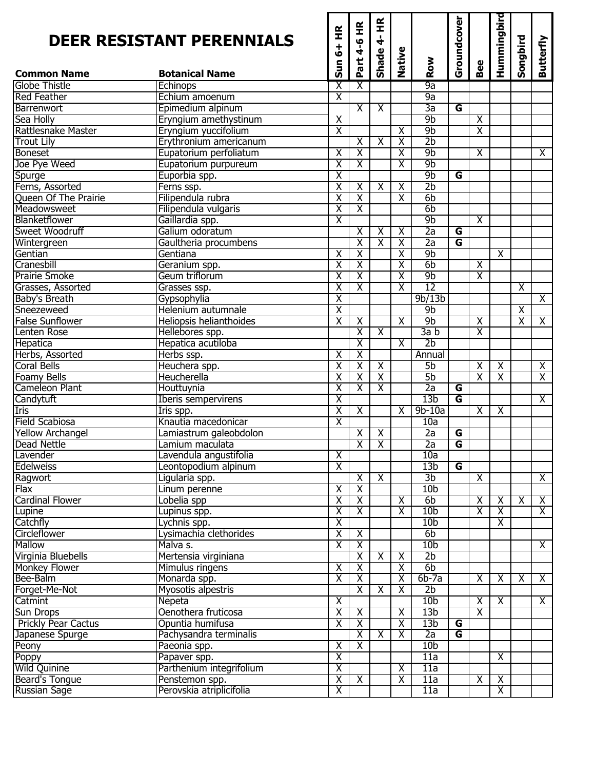|                            | <b>DEER RESISTANT PERENNIALS</b> | $\frac{\alpha}{\pi}$<br>$\ddot{}$<br>ق<br>Sun | Part 4-6 HR                                  | $\widetilde{\mathbf{H}}$<br>$\frac{1}{\mathbf{d}}$<br>Shade | Native                  | Row                               | Groundcover             | Bee                     | Hummingbird             | Songbird                | <b>Butterfly</b>        |
|----------------------------|----------------------------------|-----------------------------------------------|----------------------------------------------|-------------------------------------------------------------|-------------------------|-----------------------------------|-------------------------|-------------------------|-------------------------|-------------------------|-------------------------|
| <b>Common Name</b>         | <b>Botanical Name</b>            |                                               |                                              |                                                             |                         |                                   |                         |                         |                         |                         |                         |
| <b>Globe Thistle</b>       | <b>Echinops</b>                  | $\overline{\mathsf{x}}$                       | $\overline{\mathsf{x}}$                      |                                                             |                         | 9a                                |                         |                         |                         |                         |                         |
| <b>Red Feather</b>         | Echium amoenum                   | $\overline{\mathsf{x}}$                       |                                              |                                                             |                         | 9a                                |                         |                         |                         |                         |                         |
| Barrenwort                 | Epimedium alpinum                |                                               | $\overline{\mathsf{x}}$                      | $\overline{\mathsf{x}}$                                     |                         | 3a                                | $\overline{\mathsf{G}}$ |                         |                         |                         |                         |
| Sea Holly                  | Eryngium amethystinum            | $\pmb{\mathsf{X}}$                            |                                              |                                                             |                         | 9 <sub>b</sub>                    |                         | $\overline{\mathsf{x}}$ |                         |                         |                         |
| Rattlesnake Master         | Eryngium yuccifolium             | $\overline{\mathsf{x}}$                       |                                              |                                                             | $\overline{\mathsf{x}}$ | 9 <sub>b</sub>                    |                         | $\overline{\mathsf{x}}$ |                         |                         |                         |
| <b>Trout Lily</b>          | Erythronium americanum           |                                               | $\overline{\chi}$                            | $\overline{\chi}$                                           | $\overline{\chi}$       | 2 <sub>b</sub>                    |                         |                         |                         |                         |                         |
| <b>Boneset</b>             | Eupatorium perfoliatum           | $\overline{X}$                                | χ                                            |                                                             | $\overline{\mathsf{x}}$ | 9 <sub>b</sub>                    |                         | $\overline{\mathsf{x}}$ |                         |                         | $\overline{\mathsf{x}}$ |
| Joe Pye Weed               | Eupatorium purpureum             | $\overline{\mathsf{x}}$                       | $\overline{\mathsf{X}}$                      |                                                             | $\overline{\mathsf{X}}$ | 9 <sub>b</sub>                    |                         |                         |                         |                         |                         |
| Spurge                     | Euporbia spp.                    | $\overline{\mathsf{x}}$                       |                                              |                                                             |                         | 9 <sub>b</sub>                    | $\overline{\mathsf{G}}$ |                         |                         |                         |                         |
| Ferns, Assorted            | Ferns ssp.                       | $\overline{\mathsf{x}}$                       | $\overline{\chi}$                            | $\overline{\mathsf{x}}$                                     | $\overline{\mathsf{x}}$ | 2 <sub>b</sub>                    |                         |                         |                         |                         |                         |
| Queen Of The Prairie       | Filipendula rubra                | $\overline{\textsf{x}}$                       | χ                                            |                                                             | $\overline{\mathsf{x}}$ | 6b                                |                         |                         |                         |                         |                         |
| Meadowsweet                | Filipendula vulgaris             | $\overline{\mathsf{x}}$                       | $\overline{\mathsf{x}}$                      |                                                             |                         | 6 <sub>b</sub>                    |                         |                         |                         |                         |                         |
| Blanketflower              | Gaillardia spp.                  | $\overline{\mathsf{x}}$                       |                                              |                                                             |                         | 9 <sub>b</sub>                    |                         | $\overline{\mathsf{x}}$ |                         |                         |                         |
| Sweet Woodruff             | Galium odoratum                  |                                               | $\overline{\mathsf{x}}$                      | $\overline{\mathsf{x}}$                                     | $\overline{\mathsf{x}}$ | $\overline{2a}$                   | G                       |                         |                         |                         |                         |
| Wintergreen                | Gaultheria procumbens            |                                               | χ                                            | $\overline{\mathsf{x}}$                                     | $\overline{\mathsf{x}}$ | $\overline{2a}$                   | $\overline{\mathsf{G}}$ |                         |                         |                         |                         |
| Gentian                    | Gentiana                         | $\overline{\mathsf{x}}$                       | χ                                            |                                                             | $\overline{\mathsf{x}}$ | 9 <sub>b</sub>                    |                         |                         | $\overline{\chi}$       |                         |                         |
| Cranesbill                 | Geranium spp.                    | $\overline{\chi}$                             | $\overline{\mathsf{X}}$                      |                                                             | $\overline{\textsf{x}}$ | 6 <sub>b</sub>                    |                         | $\overline{\mathsf{x}}$ |                         |                         |                         |
| <b>Prairie Smoke</b>       | Geum triflorum                   | $\overline{\textsf{x}}$                       | χ                                            |                                                             | $\overline{\textsf{x}}$ | 9 <sub>b</sub>                    |                         | $\overline{\mathsf{x}}$ |                         |                         |                         |
| Grasses, Assorted          | Grasses ssp.                     | $\overline{\textsf{x}}$                       | χ                                            |                                                             | $\overline{\textsf{x}}$ | $\overline{12}$                   |                         |                         |                         | $\overline{\mathsf{x}}$ |                         |
| Baby's Breath              | Gypsophylia                      | $\overline{\mathsf{x}}$                       |                                              |                                                             |                         | 9b/13b                            |                         |                         |                         |                         | $\overline{\mathsf{X}}$ |
| Sneezeweed                 | Helenium autumnale               | $\overline{\mathsf{x}}$                       |                                              |                                                             |                         | 9 <sub>b</sub>                    |                         |                         |                         | $\overline{\mathsf{x}}$ |                         |
| <b>False Sunflower</b>     | Heliopsis helianthoides          | $\overline{\chi}$                             | $\overline{\chi}$                            |                                                             | $\overline{\mathsf{x}}$ | 9 <sub>b</sub>                    |                         | $\overline{\mathsf{x}}$ |                         | $\overline{\textsf{x}}$ | $\overline{\mathsf{x}}$ |
| Lenten Rose                | Hellebores spp.                  |                                               | $\overline{\chi}$                            | $\overline{\mathsf{x}}$                                     |                         | 3a b                              |                         | $\overline{\chi}$       |                         |                         |                         |
| Hepatica                   | Hepatica acutiloba               |                                               | χ                                            |                                                             | $\overline{\mathsf{x}}$ | $\overline{2b}$                   |                         |                         |                         |                         |                         |
| Herbs, Assorted            | Herbs ssp.                       | $\overline{\mathsf{x}}$                       | $\overline{\chi}$                            |                                                             |                         | Annual                            |                         |                         |                         |                         |                         |
| <b>Coral Bells</b>         | Heuchera spp.                    | $\overline{\chi}$                             | $\overline{\chi}$                            | $\overline{\mathsf{x}}$                                     |                         | 5 <sub>b</sub>                    |                         | $\overline{\chi}$       | $\overline{\mathsf{x}}$ |                         | $\overline{\mathsf{x}}$ |
| <b>Foamy Bells</b>         | Heucherella                      | $\overline{\mathsf{x}}$                       | $\overline{\mathsf{x}}$                      | $\overline{\mathsf{x}}$                                     |                         | 5b                                |                         | $\overline{\mathsf{x}}$ | $\overline{\mathsf{x}}$ |                         | $\overline{\mathsf{x}}$ |
| <b>Cameleon Plant</b>      | Houttuynia                       | $\overline{\chi}$                             | $\overline{\chi}$                            | $\overline{\mathsf{x}}$                                     |                         | $\overline{2a}$                   | G                       |                         |                         |                         |                         |
| Candytuft                  | <b>Iberis sempervirens</b>       | $\overline{X}$                                |                                              |                                                             |                         | 13 <sub>b</sub>                   | $\overline{\mathsf{G}}$ |                         |                         |                         | $\overline{\mathsf{x}}$ |
| <b>Iris</b>                | $\overline{\text{I}}$ ris spp.   | $\overline{\chi}$                             | $\overline{\chi}$                            |                                                             | $\overline{\mathsf{x}}$ | $9b-10a$                          |                         | $\overline{\mathsf{x}}$ | $\overline{\chi}$       |                         |                         |
| <b>Field Scabiosa</b>      | Knautia macedonicar              | $\overline{\textsf{x}}$                       |                                              |                                                             |                         | 10a                               |                         |                         |                         |                         |                         |
| <b>Yellow Archangel</b>    | Lamiastrum galeobdolon           |                                               | $\overline{\mathsf{X}}$                      | $\overline{\mathsf{x}}$                                     |                         | 2a                                | $\overline{G}$          |                         |                         |                         |                         |
| Dead Nettle                | Lamium maculata                  |                                               | $\overline{X}$                               | $\mathsf{X}$                                                |                         | $\overline{2a}$                   | $\overline{\mathsf{G}}$ |                         |                         |                         |                         |
| Lavender                   | Lavendula angustifolia           | $\overline{\mathsf{x}}$                       |                                              |                                                             |                         | 10a                               |                         |                         |                         |                         |                         |
| <b>Edelweiss</b>           | Leontopodium alpinum             | $\overline{\mathsf{x}}$                       |                                              |                                                             |                         | 13 <sub>b</sub>                   | G                       |                         |                         |                         |                         |
| Ragwort<br><b>Flax</b>     | Ligularia spp.                   | χ                                             | $\overline{\chi}$<br>$\overline{\mathsf{X}}$ | $\overline{X}$                                              |                         | 3 <sub>b</sub><br>10 <sub>b</sub> |                         | $\overline{\mathsf{X}}$ |                         |                         | $\overline{\mathsf{x}}$ |
| <b>Cardinal Flower</b>     | Linum perenne                    | χ                                             | $\overline{\mathsf{x}}$                      |                                                             | X                       | 6 <sub>b</sub>                    |                         | $\overline{\mathsf{x}}$ | $\overline{\mathsf{x}}$ | $\overline{\mathsf{x}}$ | $\overline{\mathsf{x}}$ |
| Lupine                     | Lobelia spp                      | $\overline{\mathsf{x}}$                       | $\overline{\mathsf{x}}$                      |                                                             | $\overline{\mathsf{x}}$ | 10 <sub>b</sub>                   |                         | $\overline{\mathsf{x}}$ | $\overline{\mathsf{x}}$ |                         | $\overline{X}$          |
| Catchfly                   | Lupinus spp.<br>Lychnis spp.     | $\overline{\mathsf{X}}$                       |                                              |                                                             |                         | 10 <sub>b</sub>                   |                         |                         | X                       |                         |                         |
| Circleflower               | Lysimachia clethorides           | $\overline{\mathsf{x}}$                       | $\overline{\mathsf{x}}$                      |                                                             |                         | 6 <sub>b</sub>                    |                         |                         |                         |                         |                         |
| Mallow                     | Malva s.                         | $\overline{\mathsf{x}}$                       | χ                                            |                                                             |                         | 10 <sub>b</sub>                   |                         |                         |                         |                         | $\overline{\mathsf{x}}$ |
| Virginia Bluebells         | Mertensia virginiana             |                                               | χ                                            | $\overline{\mathsf{x}}$                                     | $\overline{\mathsf{x}}$ | 2b                                |                         |                         |                         |                         |                         |
| Monkey Flower              | Mimulus ringens                  | $\overline{\mathsf{X}}$                       | $\overline{\mathsf{X}}$                      |                                                             | $\overline{\mathsf{x}}$ | 6 <sub>b</sub>                    |                         |                         |                         |                         |                         |
| Bee-Balm                   | Monarda spp.                     | $\overline{\mathsf{x}}$                       | $\overline{\chi}$                            |                                                             | $\overline{\mathsf{x}}$ | $6b-7a$                           |                         | $\overline{\chi}$       | $\overline{\mathsf{x}}$ | $\overline{\mathsf{x}}$ | $\overline{X}$          |
| Forget-Me-Not              | Myosotis alpestris               |                                               | $\overline{\mathsf{X}}$                      | $\overline{\mathsf{x}}$                                     | $\overline{\mathsf{x}}$ | 2 <sub>b</sub>                    |                         |                         |                         |                         |                         |
| Catmint                    | Nepeta                           | $\overline{\mathsf{x}}$                       |                                              |                                                             |                         | 10 <sub>b</sub>                   |                         | $\overline{\chi}$       | $\overline{\mathsf{x}}$ |                         | $\overline{\mathsf{x}}$ |
| <b>Sun Drops</b>           | Oenothera fruticosa              | $\overline{\mathsf{x}}$                       | $\overline{\mathsf{x}}$                      |                                                             | $\overline{\mathsf{x}}$ | 13 <sub>b</sub>                   |                         | $\overline{\mathsf{x}}$ |                         |                         |                         |
| <b>Prickly Pear Cactus</b> | Opuntia humifusa                 | $\overline{\mathsf{x}}$                       | $\overline{\chi}$                            |                                                             | $\overline{\mathsf{x}}$ | 13 <sub>b</sub>                   | G                       |                         |                         |                         |                         |
| Japanese Spurge            | Pachysandra terminalis           |                                               | $\overline{\chi}$                            | $\overline{\mathsf{x}}$                                     | $\overline{\mathsf{x}}$ | $\overline{2a}$                   | G                       |                         |                         |                         |                         |
| Peony                      | Paeonia spp.                     | χ                                             | $\overline{\mathsf{x}}$                      |                                                             |                         | 10 <sub>b</sub>                   |                         |                         |                         |                         |                         |
| Poppy                      | Papaver spp.                     | $\overline{\mathsf{x}}$                       |                                              |                                                             |                         | $\overline{11a}$                  |                         |                         | $\overline{\mathsf{x}}$ |                         |                         |
| <b>Wild Quinine</b>        | Parthenium integrifolium         | $\overline{X}$                                |                                              |                                                             | $\overline{\mathsf{x}}$ | 11a                               |                         |                         |                         |                         |                         |
| Beard's Tongue             | Penstemon spp.                   | $\overline{\mathsf{x}}$                       | $\overline{\mathsf{x}}$                      |                                                             | $\overline{\chi}$       | 11a                               |                         | $\overline{\mathsf{x}}$ | $\overline{\mathsf{x}}$ |                         |                         |
| <b>Russian Sage</b>        | Perovskia atriplicifolia         | $\overline{\mathsf{X}}$                       |                                              |                                                             |                         | 11a                               |                         |                         | χ                       |                         |                         |
|                            |                                  |                                               |                                              |                                                             |                         |                                   |                         |                         |                         |                         |                         |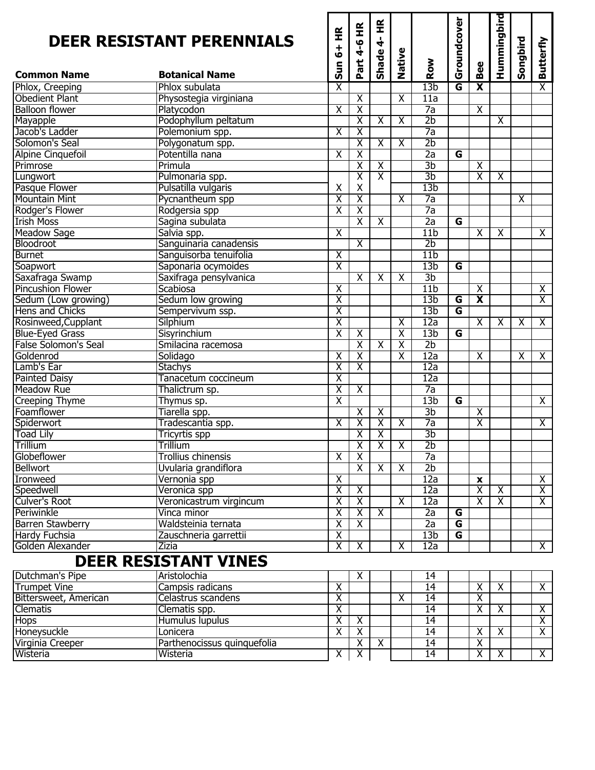|                              | <b>DEER RESISTANT PERENNIALS</b> | 6+ HR                   | Part 4-6 HR             | $rac{\mathbf{R}}{\mathbf{H}}$<br>Shade 4- | Native                  |                 | Groundcover             |                         | Hummingbird             | Songbird                | <b>Butterfly</b>        |
|------------------------------|----------------------------------|-------------------------|-------------------------|-------------------------------------------|-------------------------|-----------------|-------------------------|-------------------------|-------------------------|-------------------------|-------------------------|
| <b>Common Name</b>           | <b>Botanical Name</b>            | $rac{1}{5}$             |                         |                                           |                         | Row             |                         | Bee                     |                         |                         |                         |
| Phlox, Creeping              | Phlox subulata                   | χ                       |                         |                                           |                         | 13 <sub>b</sub> | G                       | $\overline{\mathbf{x}}$ |                         |                         | $\overline{\mathsf{X}}$ |
| <b>Obedient Plant</b>        | Physostegia virginiana           |                         | $\overline{\mathsf{x}}$ |                                           | $\overline{\mathsf{x}}$ | 11a             |                         |                         |                         |                         |                         |
| <b>Balloon flower</b>        | Platycodon                       | $\overline{\mathsf{x}}$ | χ                       |                                           |                         | $\overline{7a}$ |                         | $\overline{\chi}$       |                         |                         |                         |
| Mayapple                     | Podophyllum peltatum             |                         | χ                       | $\overline{\mathsf{x}}$                   | $\overline{\mathsf{x}}$ | 2 <sub>b</sub>  |                         |                         | $\overline{\chi}$       |                         |                         |
| Jacob's Ladder               | Polemonium spp.                  | $\overline{\chi}$       | χ                       |                                           |                         | $\overline{7a}$ |                         |                         |                         |                         |                         |
| Solomon's Seal               | Polygonatum spp.                 |                         | χ                       | $\overline{\mathsf{x}}$                   | $\overline{\chi}$       | 2 <sub>b</sub>  |                         |                         |                         |                         |                         |
| <b>Alpine Cinquefoil</b>     | Potentilla nana                  | $\overline{\mathsf{x}}$ | $\overline{\chi}$       |                                           |                         | $\overline{2a}$ | $\overline{\mathsf{G}}$ |                         |                         |                         |                         |
| Primrose                     | Primula                          |                         | χ                       | $\overline{\chi}$                         |                         | 3 <sub>b</sub>  |                         | χ                       |                         |                         |                         |
| Lungwort                     | Pulmonaria spp.                  |                         | $\overline{\chi}$       | $\overline{\mathsf{x}}$                   |                         | 3b              |                         | $\overline{\mathsf{x}}$ | $\overline{\mathsf{x}}$ |                         |                         |
| Pasque Flower                | Pulsatilla vulgaris              | Χ                       | Χ                       |                                           |                         | 13 <sub>b</sub> |                         |                         |                         |                         |                         |
| <b>Mountain Mint</b>         | Pycnantheum spp                  | $\overline{\chi}$       | χ                       |                                           | $\overline{\mathsf{x}}$ | 7a              |                         |                         |                         | $\overline{\mathsf{x}}$ |                         |
| Rodger's Flower              | Rodgersia spp                    | $\overline{\textsf{x}}$ | χ                       |                                           |                         | $\overline{7a}$ |                         |                         |                         |                         |                         |
| <b>Irish Moss</b>            | Sagina subulata                  |                         | χ                       | $\overline{\mathsf{x}}$                   |                         | 2a              | G                       |                         |                         |                         |                         |
| <b>Meadow Sage</b>           | Salvia spp.                      | $\overline{\chi}$       |                         |                                           |                         | 11 <sub>b</sub> |                         | $\overline{\chi}$       | $\overline{\mathsf{x}}$ |                         | $\overline{\mathsf{x}}$ |
| Bloodroot                    | Sanguinaria canadensis           |                         | $\overline{\chi}$       |                                           |                         | 2 <sub>b</sub>  |                         |                         |                         |                         |                         |
| <b>Burnet</b>                | Sanguisorba tenuifolia           | $\overline{\chi}$       |                         |                                           |                         | 11 <sub>b</sub> |                         |                         |                         |                         |                         |
| Soapwort                     | Saponaria ocymoides              | $\overline{\mathsf{x}}$ |                         |                                           |                         | 13 <sub>b</sub> | G                       |                         |                         |                         |                         |
| Saxafraga Swamp              | Saxifraga pensylvanica           |                         | $\overline{\mathsf{x}}$ | $\overline{\mathsf{x}}$                   | $\overline{\chi}$       | 3 <sub>b</sub>  |                         |                         |                         |                         |                         |
| <b>Pincushion Flower</b>     | Scabiosa                         | $\overline{\chi}$       |                         |                                           |                         | 11 <sub>b</sub> |                         | χ                       |                         |                         | $\overline{X}$          |
| Sedum (Low growing)          | Sedum low growing                | $\overline{\textsf{x}}$ |                         |                                           |                         | 13 <sub>b</sub> | G                       | $\overline{\mathbf{x}}$ |                         |                         | $\overline{\mathsf{x}}$ |
| Hens and Chicks              | Sempervivum ssp.                 | $\overline{\mathsf{x}}$ |                         |                                           |                         | 13 <sub>b</sub> | G                       |                         |                         |                         |                         |
| Rosinweed, Cupplant          | Silphium                         | $\overline{\mathsf{x}}$ |                         |                                           | $\overline{\mathsf{X}}$ | 12a             |                         | $\overline{\chi}$       | $\overline{\mathsf{x}}$ | $\overline{\mathsf{x}}$ | $\overline{\mathsf{x}}$ |
| <b>Blue-Eyed Grass</b>       | Sisyrinchium                     | $\overline{\chi}$       | $\overline{\mathsf{x}}$ |                                           | $\overline{\mathsf{x}}$ | 13 <sub>b</sub> | G                       |                         |                         |                         |                         |
| <b>False Solomon's Seal</b>  | Smilacina racemosa               |                         | $\overline{\mathsf{X}}$ | $\overline{\mathsf{x}}$                   | $\overline{\mathsf{x}}$ | 2 <sub>b</sub>  |                         |                         |                         |                         |                         |
| Goldenrod                    | Solidago                         | $\overline{\mathsf{x}}$ | χ                       |                                           | $\overline{\textsf{x}}$ | 12a             |                         | $\overline{\mathsf{x}}$ |                         | $\overline{\mathsf{x}}$ | $\overline{\mathsf{x}}$ |
| Lamb's Ear                   | <b>Stachys</b>                   | $\overline{\chi}$       | χ                       |                                           |                         | 12a             |                         |                         |                         |                         |                         |
| <b>Painted Daisy</b>         | Tanacetum coccineum              | $\overline{\chi}$       |                         |                                           |                         | 12a             |                         |                         |                         |                         |                         |
| <b>Meadow Rue</b>            | Thalictrum sp.                   | $\overline{\mathsf{x}}$ | $\overline{\chi}$       |                                           |                         | $\overline{7a}$ |                         |                         |                         |                         |                         |
| <b>Creeping Thyme</b>        | Thymus sp.                       | $\overline{\chi}$       |                         |                                           |                         | 13 <sub>b</sub> | G                       |                         |                         |                         | $\overline{\mathsf{x}}$ |
| Foamflower                   | Tiarella spp.                    |                         | $\overline{\chi}$       | $\overline{\mathsf{x}}$                   |                         | 3 <sub>b</sub>  |                         | χ                       |                         |                         |                         |
| Spiderwort                   | Tradescantia spp.                | $\overline{\mathsf{x}}$ | $\overline{\chi}$       | $\overline{X}$                            | $\overline{\mathsf{x}}$ | $\overline{7a}$ |                         | $\overline{\chi}$       |                         |                         | $\overline{X}$          |
| <b>Toad Lily</b>             | <b>Tricyrtis spp</b>             |                         | $\overline{\chi}$       | $\overline{\chi}$                         |                         | 3 <sub>b</sub>  |                         |                         |                         |                         |                         |
| Trillium                     | <b>Trillium</b>                  |                         | $\overline{\mathsf{x}}$ | $\overline{\mathsf{x}}$                   | $\overline{\mathsf{x}}$ | 2 <sub>b</sub>  |                         |                         |                         |                         |                         |
| Globeflower                  | Trollius chinensis               | $\overline{\mathsf{x}}$ | χ                       |                                           |                         | $\overline{7a}$ |                         |                         |                         |                         |                         |
| <b>Bellwort</b>              | Uvularia grandiflora             |                         | $\overline{\mathsf{x}}$ | X                                         | X                       | 2 <sub>b</sub>  |                         |                         |                         |                         |                         |
| Ironweed                     | Vernonia spp                     | $\overline{\mathsf{x}}$ |                         |                                           |                         | 12a             |                         | $\mathbf x$             |                         |                         | $\overline{X}$          |
| Speedwell                    | Veronica spp                     | $\overline{\mathsf{x}}$ | $\overline{X}$          |                                           |                         | 12a             |                         | $\overline{\mathsf{x}}$ | $\overline{\mathsf{x}}$ |                         | $\overline{X}$          |
| Culver's Root                | Veronicastrum virgincum          | $\overline{X}$          | $\overline{\mathsf{X}}$ |                                           | $\overline{\mathsf{x}}$ | 12a             |                         | χ                       | $\overline{\mathsf{x}}$ |                         | $\overline{X}$          |
| Periwinkle                   | Vinca minor                      | $\overline{\mathsf{x}}$ | $\overline{\chi}$       | $\overline{\mathsf{x}}$                   |                         | 2a              | G                       |                         |                         |                         |                         |
| <b>Barren Stawberry</b>      | Waldsteinia ternata              | $\overline{\mathsf{x}}$ | $\overline{\chi}$       |                                           |                         | $\overline{2a}$ | G                       |                         |                         |                         |                         |
| Hardy Fuchsia                | Zauschneria garrettii            | $\overline{X}$          |                         |                                           |                         | 13 <sub>b</sub> | G                       |                         |                         |                         |                         |
| Golden Alexander             | <b>Zizia</b>                     | $\overline{\mathsf{x}}$ | $\overline{\mathsf{x}}$ |                                           | $\overline{\mathsf{x}}$ | 12a             |                         |                         |                         |                         | $\overline{X}$          |
|                              | <b>DEER RESISTANT VINES</b>      |                         |                         |                                           |                         |                 |                         |                         |                         |                         |                         |
| Dutchman's Pipe              | Aristolochia                     |                         | $\overline{\mathsf{x}}$ |                                           |                         | 14              |                         |                         |                         |                         |                         |
| <b>Trumpet Vine</b>          | Campsis radicans                 | $\overline{\mathsf{x}}$ |                         |                                           |                         | 14              |                         | $\overline{\mathsf{x}}$ | $\overline{\mathsf{x}}$ |                         | $\overline{X}$          |
| <b>Bittersweet, American</b> | Celastrus scandens               | $\overline{\mathsf{x}}$ |                         |                                           | $\overline{\mathsf{x}}$ | 14              |                         | $\overline{\chi}$       |                         |                         |                         |
| <b>Clematis</b>              | Clematis spp.                    | $\overline{\chi}$       |                         |                                           |                         | 14              |                         | $\overline{\chi}$       | $\overline{\mathsf{x}}$ |                         | $\overline{X}$          |
| <b>Hops</b>                  | Humulus lupulus                  | $\overline{\mathsf{x}}$ | $\overline{\mathsf{x}}$ |                                           |                         | 14              |                         |                         |                         |                         | $\overline{\mathsf{x}}$ |
| Honeysuckle                  | Lonicera                         | $\overline{\mathsf{x}}$ | $\overline{\mathsf{x}}$ |                                           |                         | $\overline{14}$ |                         | $\overline{\mathsf{X}}$ | $\overline{\mathsf{x}}$ |                         | $\overline{X}$          |
| Virginia Creeper             | Parthenocissus quinquefolia      |                         | $\overline{\mathsf{x}}$ | X                                         |                         | 14              |                         | $\overline{\mathsf{x}}$ |                         |                         |                         |
| Wisteria                     | Wisteria                         | $\overline{X}$          | $\overline{\mathsf{x}}$ |                                           |                         | 14              |                         | $\overline{\mathsf{x}}$ | $\overline{\mathsf{x}}$ |                         | $\overline{X}$          |